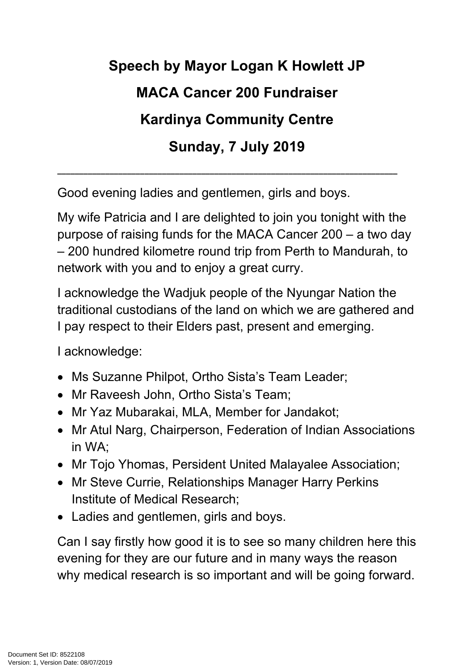## **Speech by Mayor Logan K Howlett JP MACA Cancer 200 Fundraiser Kardinya Community Centre Sunday, 7 July 2019**

Good evening ladies and gentlemen, girls and boys.

My wife Patricia and I are delighted to join you tonight with the purpose of raising funds for the MACA Cancer 200 – a two day – 200 hundred kilometre round trip from Perth to Mandurah, to network with you and to enjoy a great curry.

**\_\_\_\_\_\_\_\_\_\_\_\_\_\_\_\_\_\_\_\_\_\_\_\_\_\_\_\_\_\_\_\_\_\_\_\_\_\_\_\_\_\_\_\_\_\_\_\_\_\_\_\_\_\_\_\_\_\_\_\_\_\_\_\_\_\_\_\_\_\_\_\_\_\_\_\_\_\_**

I acknowledge the Wadjuk people of the Nyungar Nation the traditional custodians of the land on which we are gathered and I pay respect to their Elders past, present and emerging.

I acknowledge:

- Ms Suzanne Philpot, Ortho Sista's Team Leader;
- Mr Raveesh John, Ortho Sista's Team;
- Mr Yaz Mubarakai, MLA, Member for Jandakot;
- Mr Atul Narg, Chairperson, Federation of Indian Associations in WA;
- Mr Tojo Yhomas, Persident United Malayalee Association;
- Mr Steve Currie, Relationships Manager Harry Perkins Institute of Medical Research;
- Ladies and gentlemen, girls and boys.

Can I say firstly how good it is to see so many children here this evening for they are our future and in many ways the reason why medical research is so important and will be going forward.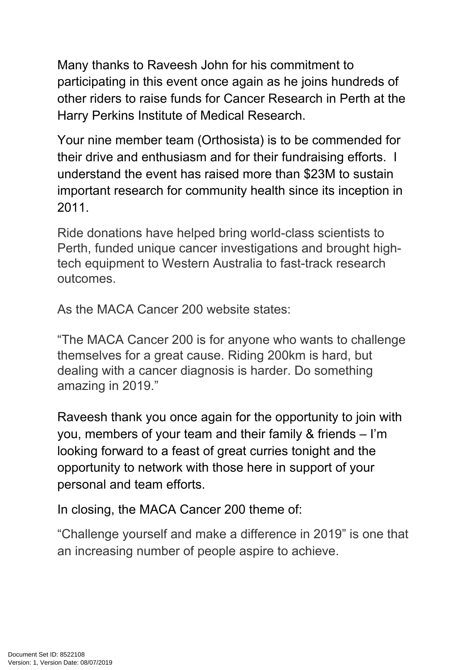Many thanks to Raveesh John for his commitment to participating in this event once again as he joins hundreds of other riders to raise funds for Cancer Research in Perth at the Harry Perkins Institute of Medical Research.

Your nine member team (Orthosista) is to be commended for their drive and enthusiasm and for their fundraising efforts. I understand the event has raised more than \$23M to sustain important research for community health since its inception in 2011.

Ride donations have helped bring world-class scientists to Perth, funded unique cancer investigations and brought hightech equipment to Western Australia to fast-track research outcomes.

As the MACA Cancer 200 website states:

"The MACA Cancer 200 is for anyone who wants to challenge themselves for a great cause. Riding 200km is hard, but dealing with a cancer diagnosis is harder. Do something amazing in 2019."

Raveesh thank you once again for the opportunity to join with you, members of your team and their family & friends – I'm looking forward to a feast of great curries tonight and the opportunity to network with those here in support of your personal and team efforts.

In closing, the MACA Cancer 200 theme of:

"Challenge yourself and make a difference in 2019" is one that an increasing number of people aspire to achieve.